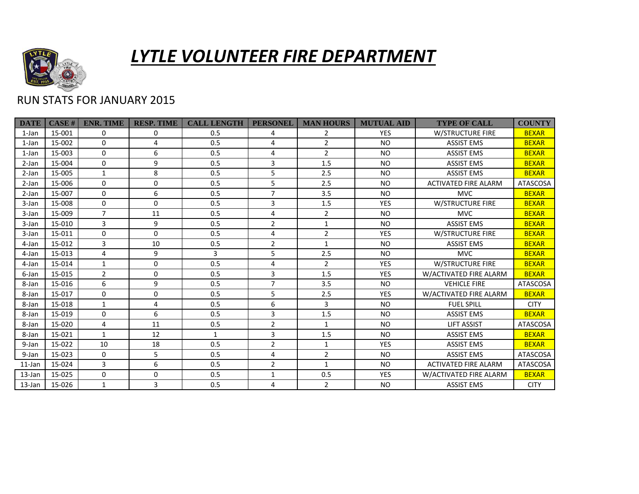

## *LYTLE VOLUNTEER FIRE DEPARTMENT*

## RUN STATS FOR JANUARY 2015

| <b>DATE</b> | <b>CASE#</b> | <b>ENR. TIME</b> | <b>RESP. TIME</b> | <b>CALL LENGTH</b> | <b>PERSONEL</b> | <b>MAN HOURS</b> | <b>MUTUAL AID</b> | <b>TYPE OF CALL</b>         | <b>COUNTY</b>   |
|-------------|--------------|------------------|-------------------|--------------------|-----------------|------------------|-------------------|-----------------------------|-----------------|
| 1-Jan       | 15-001       | 0                | $\Omega$          | 0.5                | 4               | $\overline{2}$   | <b>YES</b>        | <b>W/STRUCTURE FIRE</b>     | <b>BEXAR</b>    |
| 1-Jan       | 15-002       | 0                | 4                 | 0.5                | 4               | $\overline{2}$   | <b>NO</b>         | <b>ASSIST EMS</b>           | <b>BEXAR</b>    |
| 1-Jan       | 15-003       | $\mathbf 0$      | 6                 | 0.5                | 4               | $\overline{2}$   | <b>NO</b>         | <b>ASSIST EMS</b>           | <b>BEXAR</b>    |
| 2-Jan       | 15-004       | $\Omega$         | 9                 | 0.5                | 3               | 1.5              | <b>NO</b>         | <b>ASSIST EMS</b>           | <b>BEXAR</b>    |
| 2-Jan       | 15-005       | $\mathbf{1}$     | 8                 | 0.5                | 5               | 2.5              | <b>NO</b>         | <b>ASSIST EMS</b>           | <b>BEXAR</b>    |
| 2-Jan       | 15-006       | $\mathbf 0$      | 0                 | 0.5                | 5               | 2.5              | <b>NO</b>         | <b>ACTIVATED FIRE ALARM</b> | <b>ATASCOSA</b> |
| 2-Jan       | 15-007       | $\mathbf 0$      | 6                 | 0.5                | $\overline{7}$  | 3.5              | <b>NO</b>         | <b>MVC</b>                  | <b>BEXAR</b>    |
| 3-Jan       | 15-008       | $\Omega$         | $\Omega$          | 0.5                | 3               | 1.5              | <b>YES</b>        | <b>W/STRUCTURE FIRE</b>     | <b>BEXAR</b>    |
| 3-Jan       | 15-009       | $\overline{7}$   | 11                | 0.5                | 4               | $\overline{2}$   | NO.               | <b>MVC</b>                  | <b>BEXAR</b>    |
| 3-Jan       | 15-010       | 3                | 9                 | 0.5                | $\overline{2}$  | $\mathbf{1}$     | <b>NO</b>         | <b>ASSIST EMS</b>           | <b>BEXAR</b>    |
| 3-Jan       | 15-011       | $\mathbf 0$      | $\mathbf 0$       | 0.5                | 4               | $\overline{2}$   | <b>YES</b>        | <b>W/STRUCTURE FIRE</b>     | <b>BEXAR</b>    |
| 4-Jan       | 15-012       | 3                | 10                | 0.5                | $\overline{2}$  | $\mathbf{1}$     | <b>NO</b>         | <b>ASSIST EMS</b>           | <b>BEXAR</b>    |
| 4-Jan       | 15-013       | 4                | 9                 | 3                  | 5               | 2.5              | <b>NO</b>         | <b>MVC</b>                  | <b>BEXAR</b>    |
| 4-Jan       | 15-014       | $\mathbf{1}$     | 0                 | 0.5                | 4               | $\overline{2}$   | <b>YES</b>        | <b>W/STRUCTURE FIRE</b>     | <b>BEXAR</b>    |
| 6-Jan       | 15-015       | $\overline{2}$   | 0                 | 0.5                | 3               | 1.5              | <b>YES</b>        | W/ACTIVATED FIRE ALARM      | <b>BEXAR</b>    |
| 8-Jan       | 15-016       | 6                | 9                 | 0.5                | $\overline{7}$  | 3.5              | <b>NO</b>         | <b>VEHICLE FIRE</b>         | <b>ATASCOSA</b> |
| 8-Jan       | 15-017       | $\Omega$         | $\Omega$          | 0.5                | 5               | 2.5              | <b>YES</b>        | W/ACTIVATED FIRE ALARM      | <b>BEXAR</b>    |
| 8-Jan       | 15-018       | $\mathbf{1}$     | 4                 | 0.5                | 6               | 3                | <b>NO</b>         | <b>FUEL SPILL</b>           | <b>CITY</b>     |
| 8-Jan       | 15-019       | $\Omega$         | 6                 | 0.5                | 3               | 1.5              | <b>NO</b>         | <b>ASSIST EMS</b>           | <b>BEXAR</b>    |
| 8-Jan       | 15-020       | 4                | 11                | 0.5                | $\overline{2}$  | $\mathbf{1}$     | <b>NO</b>         | <b>LIFT ASSIST</b>          | <b>ATASCOSA</b> |
| 8-Jan       | 15-021       | $\mathbf{1}$     | 12                | $\mathbf{1}$       | 3               | 1.5              | <b>NO</b>         | <b>ASSIST EMS</b>           | <b>BEXAR</b>    |
| 9-Jan       | 15-022       | 10               | 18                | 0.5                | $\overline{2}$  | 1                | <b>YES</b>        | <b>ASSIST EMS</b>           | <b>BEXAR</b>    |
| 9-Jan       | 15-023       | $\mathbf 0$      | 5                 | 0.5                | 4               | $\overline{2}$   | <b>NO</b>         | <b>ASSIST EMS</b>           | <b>ATASCOSA</b> |
| $11$ -Jan   | 15-024       | 3                | 6                 | 0.5                | $\overline{2}$  | $\mathbf{1}$     | <b>NO</b>         | <b>ACTIVATED FIRE ALARM</b> | <b>ATASCOSA</b> |
| 13-Jan      | 15-025       | $\mathbf 0$      | 0                 | 0.5                | 1               | 0.5              | <b>YES</b>        | W/ACTIVATED FIRE ALARM      | <b>BEXAR</b>    |
| 13-Jan      | 15-026       | $\mathbf{1}$     | 3                 | 0.5                | 4               | $\overline{2}$   | <b>NO</b>         | <b>ASSIST EMS</b>           | <b>CITY</b>     |